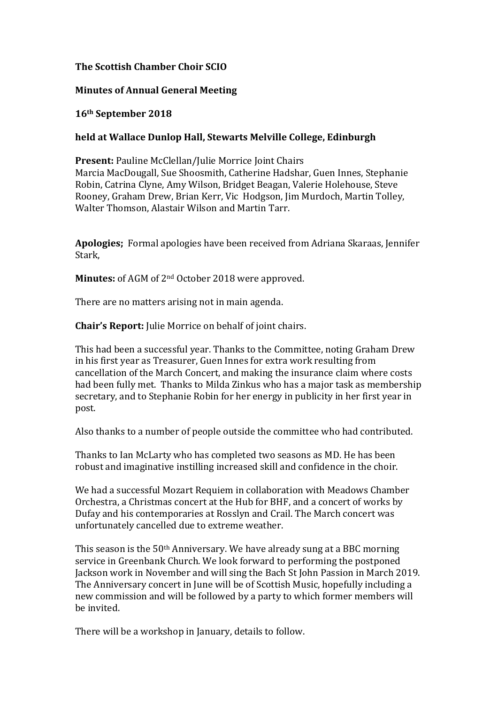# **The Scottish Chamber Choir SCIO**

# **Minutes of Annual General Meeting**

### **16th September 
 2018**

## held at Wallace Dunlop Hall, Stewarts Melville College, Edinburgh

**Present:** Pauline McClellan/Julie Morrice Joint Chairs Marcia MacDougall, Sue Shoosmith, Catherine Hadshar, Guen Innes, Stephanie Robin, Catrina Clyne, Amy Wilson, Bridget Beagan, Valerie Holehouse, Steve Rooney, Graham Drew, Brian Kerr, Vic Hodgson, Jim Murdoch, Martin Tolley, Walter Thomson, Alastair Wilson and Martin Tarr.

**Apologies:** Formal apologies have been received from Adriana Skaraas, Jennifer Stark, 

Minutes: of AGM of 2<sup>nd</sup> October 2018 were approved.

There are no matters arising not in main agenda.

**Chair's Report:** Julie Morrice on behalf of joint chairs.

This had been a successful year. Thanks to the Committee, noting Graham Drew in his first year as Treasurer, Guen Innes for extra work resulting from cancellation of the March Concert, and making the insurance claim where costs had been fully met. Thanks to Milda Zinkus who has a major task as membership secretary, and to Stephanie Robin for her energy in publicity in her first year in post.

Also thanks to a number of people outside the committee who had contributed.

Thanks to Ian McLarty who has completed two seasons as MD. He has been robust and imaginative instilling increased skill and confidence in the choir.

We had a successful Mozart Requiem in collaboration with Meadows Chamber Orchestra, a Christmas concert at the Hub for BHF, and a concert of works by Dufay and his contemporaries at Rosslyn and Crail. The March concert was unfortunately cancelled due to extreme weather.

This season is the  $50<sup>th</sup>$  Anniversary. We have already sung at a BBC morning service in Greenbank Church. We look forward to performing the postponed Jackson work in November and will sing the Bach St John Passion in March 2019. The Anniversary concert in June will be of Scottish Music, hopefully including a new commission and will be followed by a party to which former members will be invited.

There will be a workshop in January, details to follow.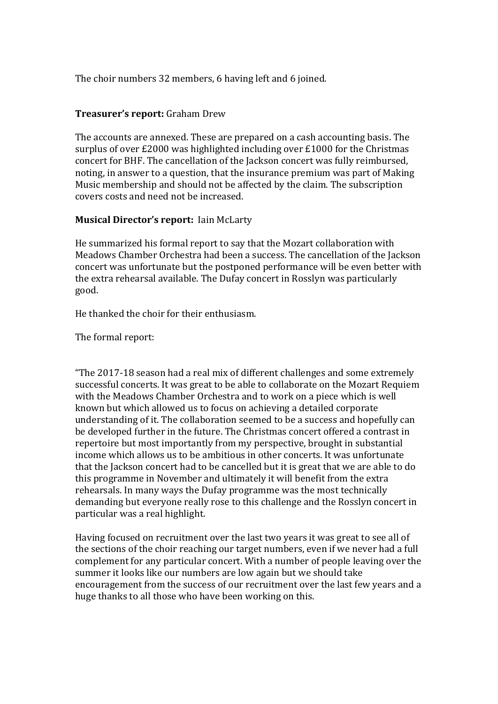The choir numbers 32 members, 6 having left and 6 joined.

### **Treasurer's report:** Graham Drew

The accounts are annexed. These are prepared on a cash accounting basis. The surplus of over  $\text{\pounds}2000$  was highlighted including over  $\text{\pounds}1000$  for the Christmas concert for BHF. The cancellation of the Jackson concert was fully reimbursed, noting, in answer to a question, that the insurance premium was part of Making Music membership and should not be affected by the claim. The subscription covers costs and need not be increased.

## **Musical Director's report: Iain McLarty**

He summarized his formal report to say that the Mozart collaboration with Meadows Chamber Orchestra had been a success. The cancellation of the Jackson concert was unfortunate but the postponed performance will be even better with the extra rehearsal available. The Dufay concert in Rosslyn was particularly good.

He thanked the choir for their enthusiasm.

The formal report:

"The 2017-18 season had a real mix of different challenges and some extremely successful concerts. It was great to be able to collaborate on the Mozart Requiem with the Meadows Chamber Orchestra and to work on a piece which is well known but which allowed us to focus on achieving a detailed corporate understanding of it. The collaboration seemed to be a success and hopefully can be developed further in the future. The Christmas concert offered a contrast in repertoire but most importantly from my perspective, brought in substantial income which allows us to be ambitious in other concerts. It was unfortunate that the Jackson concert had to be cancelled but it is great that we are able to do this programme in November and ultimately it will benefit from the extra rehearsals. In many ways the Dufay programme was the most technically demanding but everyone really rose to this challenge and the Rosslyn concert in particular was a real highlight.

Having focused on recruitment over the last two years it was great to see all of the sections of the choir reaching our target numbers, even if we never had a full complement for any particular concert. With a number of people leaving over the summer it looks like our numbers are low again but we should take encouragement from the success of our recruitment over the last few years and a huge thanks to all those who have been working on this.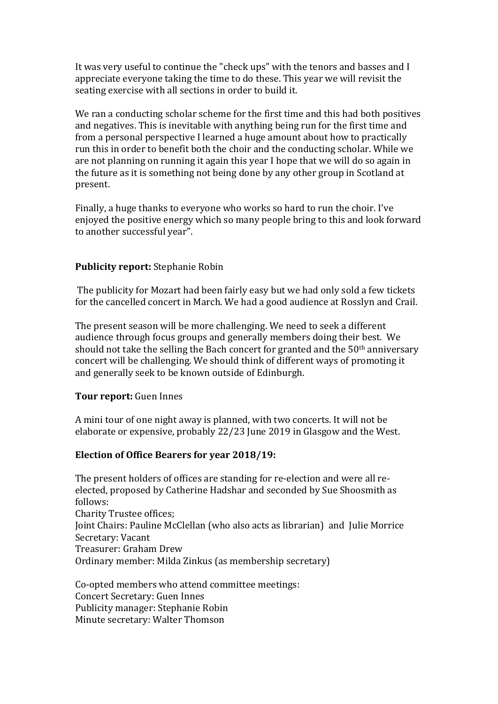It was very useful to continue the "check ups" with the tenors and basses and I appreciate everyone taking the time to do these. This year we will revisit the seating exercise with all sections in order to build it.

We ran a conducting scholar scheme for the first time and this had both positives and negatives. This is inevitable with anything being run for the first time and from a personal perspective I learned a huge amount about how to practically run this in order to benefit both the choir and the conducting scholar. While we are not planning on running it again this year I hope that we will do so again in the future as it is something not being done by any other group in Scotland at present.

Finally, a huge thanks to everyone who works so hard to run the choir. I've enjoved the positive energy which so many people bring to this and look forward to another successful year".

### **Publicity report:** Stephanie Robin

The publicity for Mozart had been fairly easy but we had only sold a few tickets for the cancelled concert in March. We had a good audience at Rosslyn and Crail.

The present season will be more challenging. We need to seek a different audience through focus groups and generally members doing their best. We should not take the selling the Bach concert for granted and the  $50<sup>th</sup>$  anniversary concert will be challenging. We should think of different ways of promoting it and generally seek to be known outside of Edinburgh.

### **Tour report:** Guen Innes

A mini tour of one night away is planned, with two concerts. It will not be elaborate or expensive, probably 22/23 June 2019 in Glasgow and the West.

### Election of Office Bearers for year 2018/19:

The present holders of offices are standing for re-election and were all reelected, proposed by Catherine Hadshar and seconded by Sue Shoosmith as follows: Charity Trustee offices; Joint Chairs: Pauline McClellan (who also acts as librarian) and Julie Morrice Secretary: Vacant Treasurer: Graham Drew Ordinary member: Milda Zinkus (as membership secretary)

Co-opted members who attend committee meetings: Concert Secretary: Guen Innes Publicity manager: Stephanie Robin Minute secretary: Walter Thomson